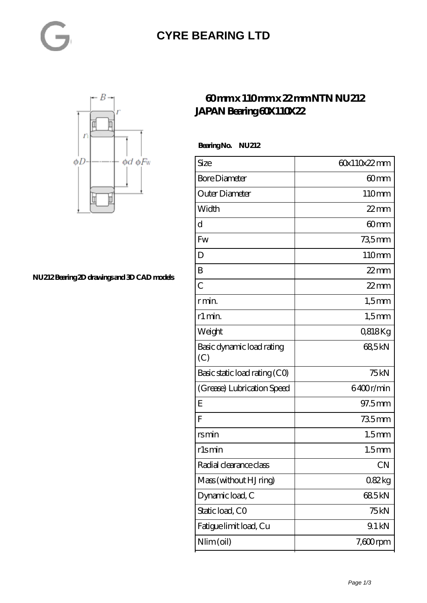#### **[CYRE BEARING LTD](https://kxt-bearing.com)**



**[NU212 Bearing 2D drawings and 3D CAD models](https://kxt-bearing.com/pic-315260.html)**

#### **[60 mm x 110 mm x 22 mm NTN NU212](https://kxt-bearing.com/af-315260-ntn-nu212-japan-bearing-60x110x22.html) [JAPAN Bearing 60X110X22](https://kxt-bearing.com/af-315260-ntn-nu212-japan-bearing-60x110x22.html)**

 **Bearing No. NU212**

| Size                             | 60x110x22mm       |
|----------------------------------|-------------------|
| <b>Bore Diameter</b>             | 60mm              |
| Outer Diameter                   | 110mm             |
| Width                            | $22$ mm           |
| d                                | 60 <sub>mm</sub>  |
| Fw                               | 735mm             |
| D                                | 110mm             |
| B                                | $22$ mm           |
| $\overline{C}$                   | $22$ mm           |
| r min.                           | $1,5$ mm          |
| r1 min.                          | $1,5$ mm          |
| Weight                           | 0,818Kg           |
| Basic dynamic load rating<br>(C) | 685kN             |
| Basic static load rating (CO)    | 75kN              |
| (Grease) Lubrication Speed       | 6400r/min         |
| E                                | 97.5mm            |
| $\overline{F}$                   | 735mm             |
| rsmin                            | 1.5 <sub>mm</sub> |
| r1smin                           | 1.5 <sub>mm</sub> |
| Radial clearance class           | <b>CN</b>         |
| Mass (without HJ ring)           | 082kg             |
| Dynamic load, C                  | 685kN             |
| Static load, CO                  | 75 kN             |
| Fatigue limit load, Cu           | 9.1 kN            |
| Nlim (oil)                       | $7,600$ rpm       |
|                                  |                   |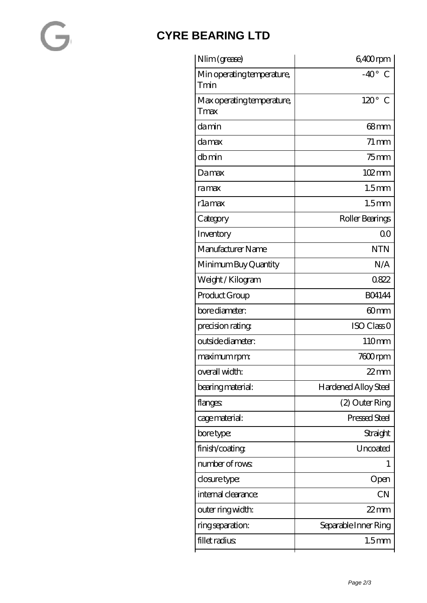## $\sim$

### **[CYRE BEARING LTD](https://kxt-bearing.com)**

| Nlim (grease)                      | 6,400rpm                     |
|------------------------------------|------------------------------|
| Min operating temperature,<br>Tmin | $-40^{\circ}$<br>C           |
| Max operating temperature,<br>Tmax | $120^\circ$<br>$\mathcal{C}$ |
| damin                              | $68 \text{mm}$               |
| damax                              | $71 \,\mathrm{mm}$           |
| dbmin                              | $75$ mm                      |
| Damax                              | 102mm                        |
| ramax                              | 1.5 <sub>mm</sub>            |
| rlamax                             | 1.5 <sub>mm</sub>            |
| Category                           | Roller Bearings              |
| Inventory                          | 0 <sup>0</sup>               |
| Manufacturer Name                  | <b>NTN</b>                   |
| Minimum Buy Quantity               | N/A                          |
| Weight/Kilogram                    | 0822                         |
| Product Group                      | <b>BO4144</b>                |
| bore diameter:                     | 60 <sub>mm</sub>             |
| precision rating                   | ISO Class <sub>O</sub>       |
| outside diameter:                  | 110mm                        |
| maximum rpm:                       | 7600rpm                      |
| overall width:                     | 22 mm                        |
| bearing material:                  | <b>Hardened Alloy Steel</b>  |
| flanges:                           | (2) Outer Ring               |
| cage material:                     | Pressed Steel                |
| bore type:                         | Straight                     |
| finish/coating                     | Uncoated                     |
| number of rows                     | 1                            |
| closure type:                      | Open                         |
| internal clearance:                | CN                           |
| outer ring width:                  | $22$ mm                      |
| ring separation:                   | Separable Inner Ring         |
| fillet radius                      | 1.5 <sub>mm</sub>            |
|                                    |                              |